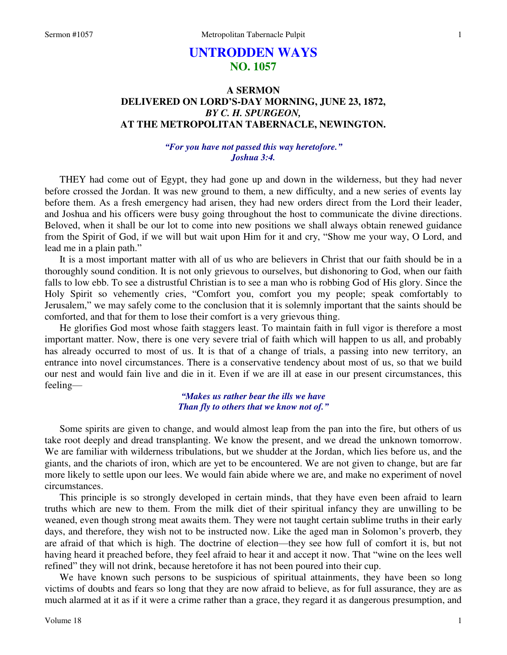# **UNTRODDEN WAYS NO. 1057**

## **A SERMON DELIVERED ON LORD'S-DAY MORNING, JUNE 23, 1872,**  *BY C. H. SPURGEON,*  **AT THE METROPOLITAN TABERNACLE, NEWINGTON.**

## *"For you have not passed this way heretofore." Joshua 3:4.*

THEY had come out of Egypt, they had gone up and down in the wilderness, but they had never before crossed the Jordan. It was new ground to them, a new difficulty, and a new series of events lay before them. As a fresh emergency had arisen, they had new orders direct from the Lord their leader, and Joshua and his officers were busy going throughout the host to communicate the divine directions. Beloved, when it shall be our lot to come into new positions we shall always obtain renewed guidance from the Spirit of God, if we will but wait upon Him for it and cry, "Show me your way, O Lord, and lead me in a plain path."

It is a most important matter with all of us who are believers in Christ that our faith should be in a thoroughly sound condition. It is not only grievous to ourselves, but dishonoring to God, when our faith falls to low ebb. To see a distrustful Christian is to see a man who is robbing God of His glory. Since the Holy Spirit so vehemently cries, "Comfort you, comfort you my people; speak comfortably to Jerusalem," we may safely come to the conclusion that it is solemnly important that the saints should be comforted, and that for them to lose their comfort is a very grievous thing.

He glorifies God most whose faith staggers least. To maintain faith in full vigor is therefore a most important matter. Now, there is one very severe trial of faith which will happen to us all, and probably has already occurred to most of us. It is that of a change of trials, a passing into new territory, an entrance into novel circumstances. There is a conservative tendency about most of us, so that we build our nest and would fain live and die in it. Even if we are ill at ease in our present circumstances, this feeling—

## *"Makes us rather bear the ills we have Than fly to others that we know not of."*

Some spirits are given to change, and would almost leap from the pan into the fire, but others of us take root deeply and dread transplanting. We know the present, and we dread the unknown tomorrow. We are familiar with wilderness tribulations, but we shudder at the Jordan, which lies before us, and the giants, and the chariots of iron, which are yet to be encountered. We are not given to change, but are far more likely to settle upon our lees. We would fain abide where we are, and make no experiment of novel circumstances.

 This principle is so strongly developed in certain minds, that they have even been afraid to learn truths which are new to them. From the milk diet of their spiritual infancy they are unwilling to be weaned, even though strong meat awaits them. They were not taught certain sublime truths in their early days, and therefore, they wish not to be instructed now. Like the aged man in Solomon's proverb, they are afraid of that which is high. The doctrine of election—they see how full of comfort it is, but not having heard it preached before, they feel afraid to hear it and accept it now. That "wine on the lees well refined" they will not drink, because heretofore it has not been poured into their cup.

We have known such persons to be suspicious of spiritual attainments, they have been so long victims of doubts and fears so long that they are now afraid to believe, as for full assurance, they are as much alarmed at it as if it were a crime rather than a grace, they regard it as dangerous presumption, and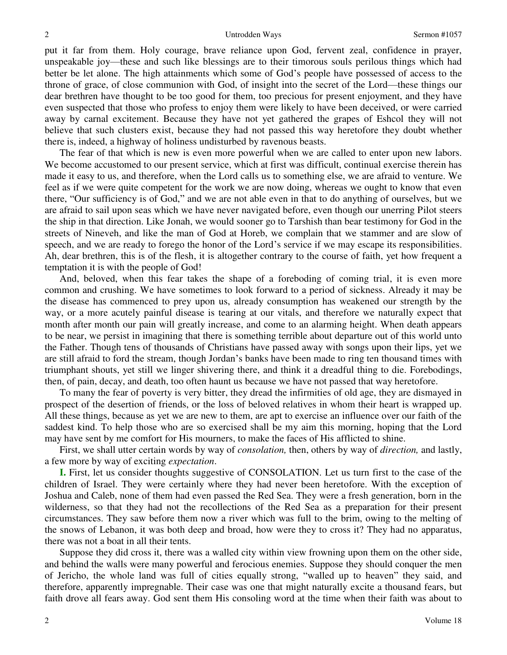put it far from them. Holy courage, brave reliance upon God, fervent zeal, confidence in prayer, unspeakable joy—these and such like blessings are to their timorous souls perilous things which had better be let alone. The high attainments which some of God's people have possessed of access to the throne of grace, of close communion with God, of insight into the secret of the Lord—these things our dear brethren have thought to be too good for them, too precious for present enjoyment, and they have even suspected that those who profess to enjoy them were likely to have been deceived, or were carried away by carnal excitement. Because they have not yet gathered the grapes of Eshcol they will not believe that such clusters exist, because they had not passed this way heretofore they doubt whether there is, indeed, a highway of holiness undisturbed by ravenous beasts.

The fear of that which is new is even more powerful when we are called to enter upon new labors. We become accustomed to our present service, which at first was difficult, continual exercise therein has made it easy to us, and therefore, when the Lord calls us to something else, we are afraid to venture. We feel as if we were quite competent for the work we are now doing, whereas we ought to know that even there, "Our sufficiency is of God," and we are not able even in that to do anything of ourselves, but we are afraid to sail upon seas which we have never navigated before, even though our unerring Pilot steers the ship in that direction. Like Jonah, we would sooner go to Tarshish than bear testimony for God in the streets of Nineveh, and like the man of God at Horeb, we complain that we stammer and are slow of speech, and we are ready to forego the honor of the Lord's service if we may escape its responsibilities. Ah, dear brethren, this is of the flesh, it is altogether contrary to the course of faith, yet how frequent a temptation it is with the people of God!

And, beloved, when this fear takes the shape of a foreboding of coming trial, it is even more common and crushing. We have sometimes to look forward to a period of sickness. Already it may be the disease has commenced to prey upon us, already consumption has weakened our strength by the way, or a more acutely painful disease is tearing at our vitals, and therefore we naturally expect that month after month our pain will greatly increase, and come to an alarming height. When death appears to be near, we persist in imagining that there is something terrible about departure out of this world unto the Father. Though tens of thousands of Christians have passed away with songs upon their lips, yet we are still afraid to ford the stream, though Jordan's banks have been made to ring ten thousand times with triumphant shouts, yet still we linger shivering there, and think it a dreadful thing to die. Forebodings, then, of pain, decay, and death, too often haunt us because we have not passed that way heretofore.

To many the fear of poverty is very bitter, they dread the infirmities of old age, they are dismayed in prospect of the desertion of friends, or the loss of beloved relatives in whom their heart is wrapped up. All these things, because as yet we are new to them, are apt to exercise an influence over our faith of the saddest kind. To help those who are so exercised shall be my aim this morning, hoping that the Lord may have sent by me comfort for His mourners, to make the faces of His afflicted to shine.

First, we shall utter certain words by way of *consolation,* then, others by way of *direction,* and lastly, a few more by way of exciting *expectation*.

**I.** First, let us consider thoughts suggestive of CONSOLATION. Let us turn first to the case of the children of Israel. They were certainly where they had never been heretofore. With the exception of Joshua and Caleb, none of them had even passed the Red Sea. They were a fresh generation, born in the wilderness, so that they had not the recollections of the Red Sea as a preparation for their present circumstances. They saw before them now a river which was full to the brim, owing to the melting of the snows of Lebanon, it was both deep and broad, how were they to cross it? They had no apparatus, there was not a boat in all their tents.

Suppose they did cross it, there was a walled city within view frowning upon them on the other side, and behind the walls were many powerful and ferocious enemies. Suppose they should conquer the men of Jericho, the whole land was full of cities equally strong, "walled up to heaven" they said, and therefore, apparently impregnable. Their case was one that might naturally excite a thousand fears, but faith drove all fears away. God sent them His consoling word at the time when their faith was about to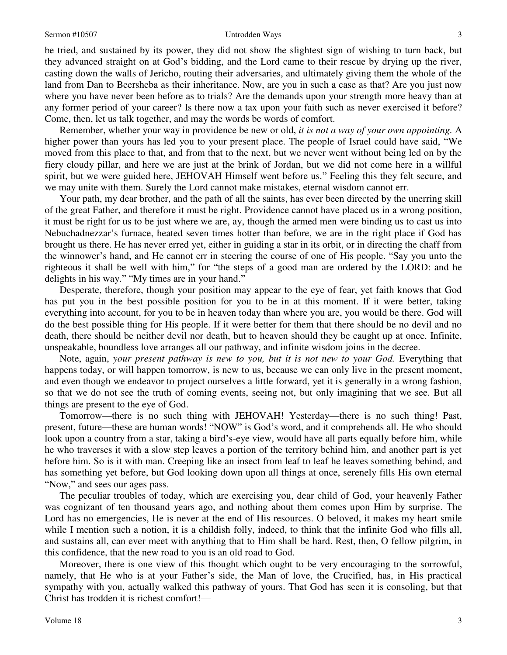#### Sermon #10507 Untrodden Ways

be tried, and sustained by its power, they did not show the slightest sign of wishing to turn back, but they advanced straight on at God's bidding, and the Lord came to their rescue by drying up the river, casting down the walls of Jericho, routing their adversaries, and ultimately giving them the whole of the land from Dan to Beersheba as their inheritance. Now, are you in such a case as that? Are you just now where you have never been before as to trials? Are the demands upon your strength more heavy than at any former period of your career? Is there now a tax upon your faith such as never exercised it before? Come, then, let us talk together, and may the words be words of comfort.

Remember, whether your way in providence be new or old, *it is not a way of your own appointing.* A higher power than yours has led you to your present place. The people of Israel could have said, "We moved from this place to that, and from that to the next, but we never went without being led on by the fiery cloudy pillar, and here we are just at the brink of Jordan, but we did not come here in a willful spirit, but we were guided here, JEHOVAH Himself went before us." Feeling this they felt secure, and we may unite with them. Surely the Lord cannot make mistakes, eternal wisdom cannot err.

Your path, my dear brother, and the path of all the saints, has ever been directed by the unerring skill of the great Father, and therefore it must be right. Providence cannot have placed us in a wrong position, it must be right for us to be just where we are, ay, though the armed men were binding us to cast us into Nebuchadnezzar's furnace, heated seven times hotter than before, we are in the right place if God has brought us there. He has never erred yet, either in guiding a star in its orbit, or in directing the chaff from the winnower's hand, and He cannot err in steering the course of one of His people. "Say you unto the righteous it shall be well with him," for "the steps of a good man are ordered by the LORD: and he delights in his way." "My times are in your hand."

Desperate, therefore, though your position may appear to the eye of fear, yet faith knows that God has put you in the best possible position for you to be in at this moment. If it were better, taking everything into account, for you to be in heaven today than where you are, you would be there. God will do the best possible thing for His people. If it were better for them that there should be no devil and no death, there should be neither devil nor death, but to heaven should they be caught up at once. Infinite, unspeakable, boundless love arranges all our pathway, and infinite wisdom joins in the decree.

Note, again, *your present pathway is new to you, but it is not new to your God.* Everything that happens today, or will happen tomorrow, is new to us, because we can only live in the present moment, and even though we endeavor to project ourselves a little forward, yet it is generally in a wrong fashion, so that we do not see the truth of coming events, seeing not, but only imagining that we see. But all things are present to the eye of God.

Tomorrow—there is no such thing with JEHOVAH! Yesterday—there is no such thing! Past, present, future—these are human words! "NOW" is God's word, and it comprehends all. He who should look upon a country from a star, taking a bird's-eye view, would have all parts equally before him, while he who traverses it with a slow step leaves a portion of the territory behind him, and another part is yet before him. So is it with man. Creeping like an insect from leaf to leaf he leaves something behind, and has something yet before, but God looking down upon all things at once, serenely fills His own eternal "Now," and sees our ages pass.

The peculiar troubles of today, which are exercising you, dear child of God, your heavenly Father was cognizant of ten thousand years ago, and nothing about them comes upon Him by surprise. The Lord has no emergencies, He is never at the end of His resources. O beloved, it makes my heart smile while I mention such a notion, it is a childish folly, indeed, to think that the infinite God who fills all, and sustains all, can ever meet with anything that to Him shall be hard. Rest, then, O fellow pilgrim, in this confidence, that the new road to you is an old road to God.

Moreover, there is one view of this thought which ought to be very encouraging to the sorrowful, namely, that He who is at your Father's side, the Man of love, the Crucified, has, in His practical sympathy with you, actually walked this pathway of yours. That God has seen it is consoling, but that Christ has trodden it is richest comfort!—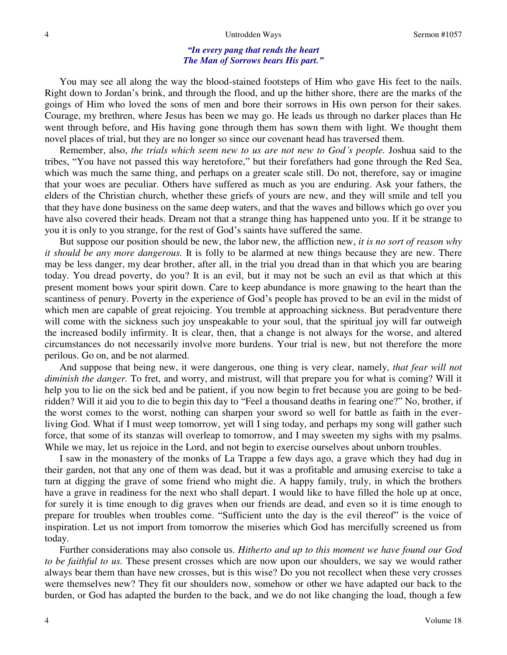### *"In every pang that rends the heart The Man of Sorrows bears His part."*

 You may see all along the way the blood-stained footsteps of Him who gave His feet to the nails. Right down to Jordan's brink, and through the flood, and up the hither shore, there are the marks of the goings of Him who loved the sons of men and bore their sorrows in His own person for their sakes. Courage, my brethren, where Jesus has been we may go. He leads us through no darker places than He went through before, and His having gone through them has sown them with light. We thought them novel places of trial, but they are no longer so since our covenant head has traversed them.

 Remember, also, *the trials which seem new to us are not new to God's people.* Joshua said to the tribes, "You have not passed this way heretofore," but their forefathers had gone through the Red Sea, which was much the same thing, and perhaps on a greater scale still. Do not, therefore, say or imagine that your woes are peculiar. Others have suffered as much as you are enduring. Ask your fathers, the elders of the Christian church, whether these griefs of yours are new, and they will smile and tell you that they have done business on the same deep waters, and that the waves and billows which go over you have also covered their heads. Dream not that a strange thing has happened unto you. If it be strange to you it is only to you strange, for the rest of God's saints have suffered the same.

But suppose our position should be new, the labor new, the affliction new, *it is no sort of reason why it should be any more dangerous.* It is folly to be alarmed at new things because they are new. There may be less danger, my dear brother, after all, in the trial you dread than in that which you are bearing today. You dread poverty, do you? It is an evil, but it may not be such an evil as that which at this present moment bows your spirit down. Care to keep abundance is more gnawing to the heart than the scantiness of penury. Poverty in the experience of God's people has proved to be an evil in the midst of which men are capable of great rejoicing. You tremble at approaching sickness. But peradventure there will come with the sickness such joy unspeakable to your soul, that the spiritual joy will far outweigh the increased bodily infirmity. It is clear, then, that a change is not always for the worse, and altered circumstances do not necessarily involve more burdens. Your trial is new, but not therefore the more perilous. Go on, and be not alarmed.

And suppose that being new, it were dangerous, one thing is very clear, namely, *that fear will not diminish the danger.* To fret, and worry, and mistrust, will that prepare you for what is coming? Will it help you to lie on the sick bed and be patient, if you now begin to fret because you are going to be bedridden? Will it aid you to die to begin this day to "Feel a thousand deaths in fearing one?" No, brother, if the worst comes to the worst, nothing can sharpen your sword so well for battle as faith in the everliving God. What if I must weep tomorrow, yet will I sing today, and perhaps my song will gather such force, that some of its stanzas will overleap to tomorrow, and I may sweeten my sighs with my psalms. While we may, let us rejoice in the Lord, and not begin to exercise ourselves about unborn troubles.

I saw in the monastery of the monks of La Trappe a few days ago, a grave which they had dug in their garden, not that any one of them was dead, but it was a profitable and amusing exercise to take a turn at digging the grave of some friend who might die. A happy family, truly, in which the brothers have a grave in readiness for the next who shall depart. I would like to have filled the hole up at once, for surely it is time enough to dig graves when our friends are dead, and even so it is time enough to prepare for troubles when troubles come. "Sufficient unto the day is the evil thereof" is the voice of inspiration. Let us not import from tomorrow the miseries which God has mercifully screened us from today.

Further considerations may also console us. *Hitherto and up to this moment we have found our God to be faithful to us.* These present crosses which are now upon our shoulders, we say we would rather always bear them than have new crosses, but is this wise? Do you not recollect when these very crosses were themselves new? They fit our shoulders now, somehow or other we have adapted our back to the burden, or God has adapted the burden to the back, and we do not like changing the load, though a few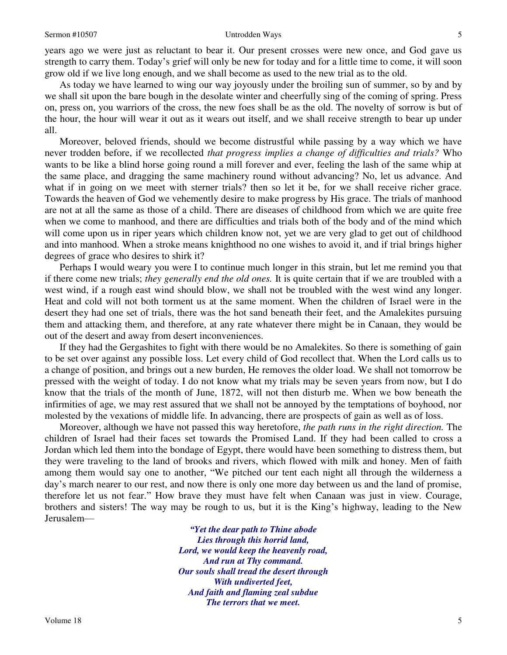5

years ago we were just as reluctant to bear it. Our present crosses were new once, and God gave us strength to carry them. Today's grief will only be new for today and for a little time to come, it will soon grow old if we live long enough, and we shall become as used to the new trial as to the old.

As today we have learned to wing our way joyously under the broiling sun of summer, so by and by we shall sit upon the bare bough in the desolate winter and cheerfully sing of the coming of spring. Press on, press on, you warriors of the cross, the new foes shall be as the old. The novelty of sorrow is but of the hour, the hour will wear it out as it wears out itself, and we shall receive strength to bear up under all.

Moreover, beloved friends, should we become distrustful while passing by a way which we have never trodden before, if we recollected *that progress implies a change of difficulties and trials?* Who wants to be like a blind horse going round a mill forever and ever, feeling the lash of the same whip at the same place, and dragging the same machinery round without advancing? No, let us advance. And what if in going on we meet with sterner trials? then so let it be, for we shall receive richer grace. Towards the heaven of God we vehemently desire to make progress by His grace. The trials of manhood are not at all the same as those of a child. There are diseases of childhood from which we are quite free when we come to manhood, and there are difficulties and trials both of the body and of the mind which will come upon us in riper years which children know not, yet we are very glad to get out of childhood and into manhood. When a stroke means knighthood no one wishes to avoid it, and if trial brings higher degrees of grace who desires to shirk it?

Perhaps I would weary you were I to continue much longer in this strain, but let me remind you that if there come new trials; *they generally end the old ones.* It is quite certain that if we are troubled with a west wind, if a rough east wind should blow, we shall not be troubled with the west wind any longer. Heat and cold will not both torment us at the same moment. When the children of Israel were in the desert they had one set of trials, there was the hot sand beneath their feet, and the Amalekites pursuing them and attacking them, and therefore, at any rate whatever there might be in Canaan, they would be out of the desert and away from desert inconveniences.

If they had the Gergashites to fight with there would be no Amalekites. So there is something of gain to be set over against any possible loss. Let every child of God recollect that. When the Lord calls us to a change of position, and brings out a new burden, He removes the older load. We shall not tomorrow be pressed with the weight of today. I do not know what my trials may be seven years from now, but I do know that the trials of the month of June, 1872, will not then disturb me. When we bow beneath the infirmities of age, we may rest assured that we shall not be annoyed by the temptations of boyhood, nor molested by the vexations of middle life. In advancing, there are prospects of gain as well as of loss.

Moreover, although we have not passed this way heretofore, *the path runs in the right direction.* The children of Israel had their faces set towards the Promised Land. If they had been called to cross a Jordan which led them into the bondage of Egypt, there would have been something to distress them, but they were traveling to the land of brooks and rivers, which flowed with milk and honey. Men of faith among them would say one to another, "We pitched our tent each night all through the wilderness a day's march nearer to our rest, and now there is only one more day between us and the land of promise, therefore let us not fear." How brave they must have felt when Canaan was just in view. Courage, brothers and sisters! The way may be rough to us, but it is the King's highway, leading to the New Jerusalem—

> *"Yet the dear path to Thine abode Lies through this horrid land, Lord, we would keep the heavenly road, And run at Thy command. Our souls shall tread the desert through With undiverted feet, And faith and flaming zeal subdue The terrors that we meet.*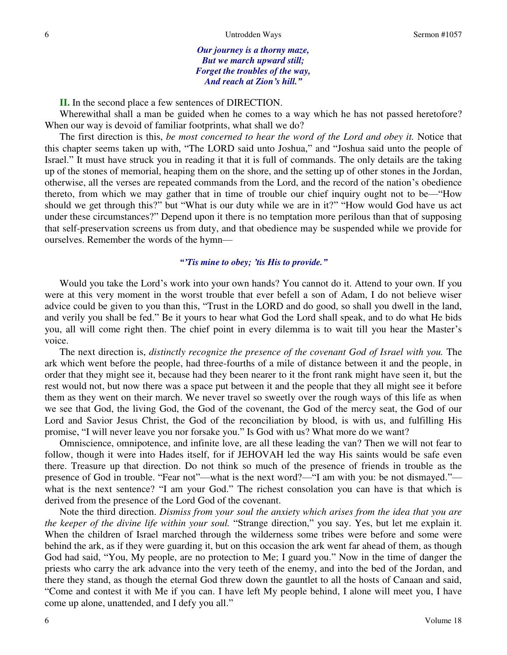*Our journey is a thorny maze, But we march upward still; Forget the troubles of the way, And reach at Zion's hill."*

**II.** In the second place a few sentences of DIRECTION.

Wherewithal shall a man be guided when he comes to a way which he has not passed heretofore? When our way is devoid of familiar footprints, what shall we do?

The first direction is this, *be most concerned to hear the word of the Lord and obey it.* Notice that this chapter seems taken up with, "The LORD said unto Joshua," and "Joshua said unto the people of Israel." It must have struck you in reading it that it is full of commands. The only details are the taking up of the stones of memorial, heaping them on the shore, and the setting up of other stones in the Jordan, otherwise, all the verses are repeated commands from the Lord, and the record of the nation's obedience thereto, from which we may gather that in time of trouble our chief inquiry ought not to be—"How should we get through this?" but "What is our duty while we are in it?" "How would God have us act under these circumstances?" Depend upon it there is no temptation more perilous than that of supposing that self-preservation screens us from duty, and that obedience may be suspended while we provide for ourselves. Remember the words of the hymn—

### *"'Tis mine to obey; 'tis His to provide."*

 Would you take the Lord's work into your own hands? You cannot do it. Attend to your own. If you were at this very moment in the worst trouble that ever befell a son of Adam, I do not believe wiser advice could be given to you than this, "Trust in the LORD and do good, so shall you dwell in the land, and verily you shall be fed." Be it yours to hear what God the Lord shall speak, and to do what He bids you, all will come right then. The chief point in every dilemma is to wait till you hear the Master's voice.

The next direction is, *distinctly recognize the presence of the covenant God of Israel with you*. The ark which went before the people, had three-fourths of a mile of distance between it and the people, in order that they might see it, because had they been nearer to it the front rank might have seen it, but the rest would not, but now there was a space put between it and the people that they all might see it before them as they went on their march. We never travel so sweetly over the rough ways of this life as when we see that God, the living God, the God of the covenant, the God of the mercy seat, the God of our Lord and Savior Jesus Christ, the God of the reconciliation by blood, is with us, and fulfilling His promise, "I will never leave you nor forsake you." Is God with us? What more do we want?

Omniscience, omnipotence, and infinite love, are all these leading the van? Then we will not fear to follow, though it were into Hades itself, for if JEHOVAH led the way His saints would be safe even there. Treasure up that direction. Do not think so much of the presence of friends in trouble as the presence of God in trouble. "Fear not"—what is the next word?—"I am with you: be not dismayed." what is the next sentence? "I am your God." The richest consolation you can have is that which is derived from the presence of the Lord God of the covenant.

Note the third direction. *Dismiss from your soul the anxiety which arises from the idea that you are the keeper of the divine life within your soul.* "Strange direction," you say. Yes, but let me explain it. When the children of Israel marched through the wilderness some tribes were before and some were behind the ark, as if they were guarding it, but on this occasion the ark went far ahead of them, as though God had said, "You, My people, are no protection to Me; I guard you." Now in the time of danger the priests who carry the ark advance into the very teeth of the enemy, and into the bed of the Jordan, and there they stand, as though the eternal God threw down the gauntlet to all the hosts of Canaan and said, "Come and contest it with Me if you can. I have left My people behind, I alone will meet you, I have come up alone, unattended, and I defy you all."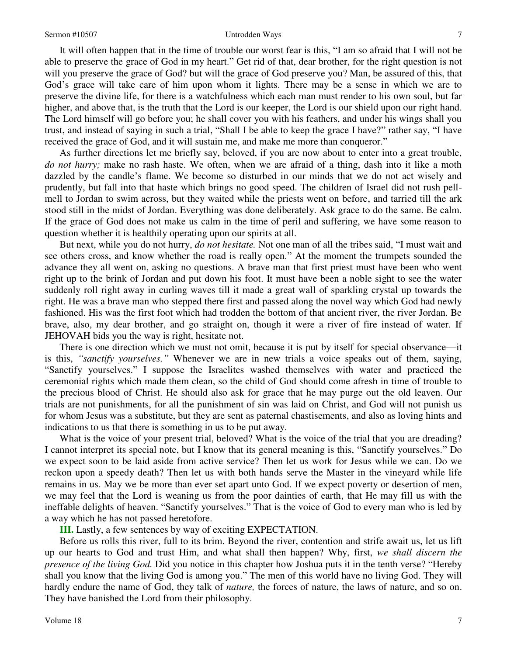#### Sermon #10507 Untrodden Ways

It will often happen that in the time of trouble our worst fear is this, "I am so afraid that I will not be able to preserve the grace of God in my heart." Get rid of that, dear brother, for the right question is not will you preserve the grace of God? but will the grace of God preserve you? Man, be assured of this, that God's grace will take care of him upon whom it lights. There may be a sense in which we are to preserve the divine life, for there is a watchfulness which each man must render to his own soul, but far higher, and above that, is the truth that the Lord is our keeper, the Lord is our shield upon our right hand. The Lord himself will go before you; he shall cover you with his feathers, and under his wings shall you trust, and instead of saying in such a trial, "Shall I be able to keep the grace I have?" rather say, "I have received the grace of God, and it will sustain me, and make me more than conqueror."

As further directions let me briefly say, beloved, if you are now about to enter into a great trouble, *do not hurry;* make no rash haste. We often, when we are afraid of a thing, dash into it like a moth dazzled by the candle's flame. We become so disturbed in our minds that we do not act wisely and prudently, but fall into that haste which brings no good speed. The children of Israel did not rush pellmell to Jordan to swim across, but they waited while the priests went on before, and tarried till the ark stood still in the midst of Jordan. Everything was done deliberately. Ask grace to do the same. Be calm. If the grace of God does not make us calm in the time of peril and suffering, we have some reason to question whether it is healthily operating upon our spirits at all.

But next, while you do not hurry, *do not hesitate.* Not one man of all the tribes said, "I must wait and see others cross, and know whether the road is really open." At the moment the trumpets sounded the advance they all went on, asking no questions. A brave man that first priest must have been who went right up to the brink of Jordan and put down his foot. It must have been a noble sight to see the water suddenly roll right away in curling waves till it made a great wall of sparkling crystal up towards the right. He was a brave man who stepped there first and passed along the novel way which God had newly fashioned. His was the first foot which had trodden the bottom of that ancient river, the river Jordan. Be brave, also, my dear brother, and go straight on, though it were a river of fire instead of water. If JEHOVAH bids you the way is right, hesitate not.

There is one direction which we must not omit, because it is put by itself for special observance—it is this, *"sanctify yourselves."* Whenever we are in new trials a voice speaks out of them, saying, "Sanctify yourselves." I suppose the Israelites washed themselves with water and practiced the ceremonial rights which made them clean, so the child of God should come afresh in time of trouble to the precious blood of Christ. He should also ask for grace that he may purge out the old leaven. Our trials are not punishments, for all the punishment of sin was laid on Christ, and God will not punish us for whom Jesus was a substitute, but they are sent as paternal chastisements, and also as loving hints and indications to us that there is something in us to be put away.

What is the voice of your present trial, beloved? What is the voice of the trial that you are dreading? I cannot interpret its special note, but I know that its general meaning is this, "Sanctify yourselves." Do we expect soon to be laid aside from active service? Then let us work for Jesus while we can. Do we reckon upon a speedy death? Then let us with both hands serve the Master in the vineyard while life remains in us. May we be more than ever set apart unto God. If we expect poverty or desertion of men, we may feel that the Lord is weaning us from the poor dainties of earth, that He may fill us with the ineffable delights of heaven. "Sanctify yourselves." That is the voice of God to every man who is led by a way which he has not passed heretofore.

**III.** Lastly, a few sentences by way of exciting EXPECTATION.

Before us rolls this river, full to its brim. Beyond the river, contention and strife await us, let us lift up our hearts to God and trust Him, and what shall then happen? Why, first, *we shall discern the presence of the living God.* Did you notice in this chapter how Joshua puts it in the tenth verse? "Hereby shall you know that the living God is among you." The men of this world have no living God. They will hardly endure the name of God, they talk of *nature,* the forces of nature, the laws of nature, and so on. They have banished the Lord from their philosophy.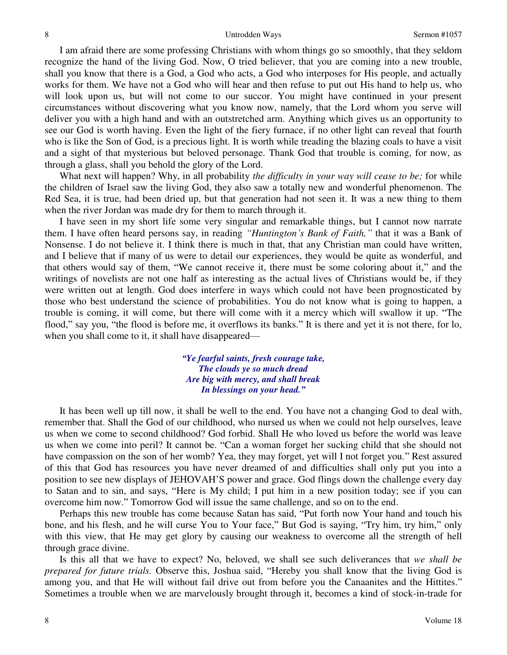I am afraid there are some professing Christians with whom things go so smoothly, that they seldom recognize the hand of the living God. Now, O tried believer, that you are coming into a new trouble, shall you know that there is a God, a God who acts, a God who interposes for His people, and actually works for them. We have not a God who will hear and then refuse to put out His hand to help us, who will look upon us, but will not come to our succor. You might have continued in your present circumstances without discovering what you know now, namely, that the Lord whom you serve will deliver you with a high hand and with an outstretched arm. Anything which gives us an opportunity to see our God is worth having. Even the light of the fiery furnace, if no other light can reveal that fourth who is like the Son of God, is a precious light. It is worth while treading the blazing coals to have a visit and a sight of that mysterious but beloved personage. Thank God that trouble is coming, for now, as through a glass, shall you behold the glory of the Lord.

What next will happen? Why, in all probability *the difficulty in your way will cease to be;* for while the children of Israel saw the living God, they also saw a totally new and wonderful phenomenon. The Red Sea, it is true, had been dried up, but that generation had not seen it. It was a new thing to them when the river Jordan was made dry for them to march through it.

I have seen in my short life some very singular and remarkable things, but I cannot now narrate them. I have often heard persons say, in reading *"Huntington's Bank of Faith,"* that it was a Bank of Nonsense. I do not believe it. I think there is much in that, that any Christian man could have written, and I believe that if many of us were to detail our experiences, they would be quite as wonderful, and that others would say of them, "We cannot receive it, there must be some coloring about it," and the writings of novelists are not one half as interesting as the actual lives of Christians would be, if they were written out at length. God does interfere in ways which could not have been prognosticated by those who best understand the science of probabilities. You do not know what is going to happen, a trouble is coming, it will come, but there will come with it a mercy which will swallow it up. "The flood," say you, "the flood is before me, it overflows its banks." It is there and yet it is not there, for lo, when you shall come to it, it shall have disappeared—

> *"Ye fearful saints, fresh courage take, The clouds ye so much dread Are big with mercy, and shall break In blessings on your head."*

It has been well up till now, it shall be well to the end. You have not a changing God to deal with, remember that. Shall the God of our childhood, who nursed us when we could not help ourselves, leave us when we come to second childhood? God forbid. Shall He who loved us before the world was leave us when we come into peril? It cannot be. "Can a woman forget her sucking child that she should not have compassion on the son of her womb? Yea, they may forget, yet will I not forget you." Rest assured of this that God has resources you have never dreamed of and difficulties shall only put you into a position to see new displays of JEHOVAH'S power and grace. God flings down the challenge every day to Satan and to sin, and says, "Here is My child; I put him in a new position today; see if you can overcome him now." Tomorrow God will issue the same challenge, and so on to the end.

Perhaps this new trouble has come because Satan has said, "Put forth now Your hand and touch his bone, and his flesh, and he will curse You to Your face," But God is saying, "Try him, try him," only with this view, that He may get glory by causing our weakness to overcome all the strength of hell through grace divine.

Is this all that we have to expect? No, beloved, we shall see such deliverances that *we shall be prepared for future trials.* Observe this, Joshua said, "Hereby you shall know that the living God is among you, and that He will without fail drive out from before you the Canaanites and the Hittites." Sometimes a trouble when we are marvelously brought through it, becomes a kind of stock-in-trade for